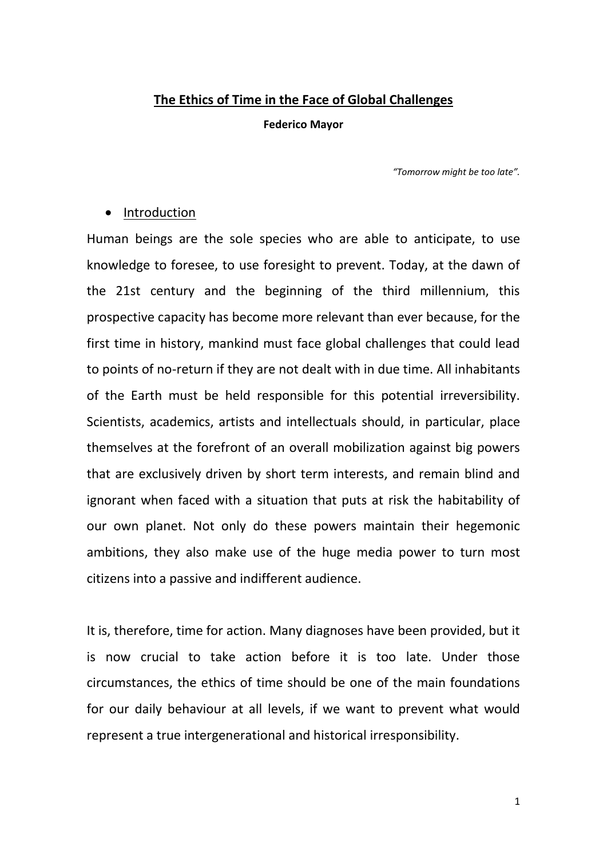## **The Ethics of Time in the Face of Global Challenges**

**Federico Mayor**

*"Tomorrow might be too late".*

## • Introduction

Human beings are the sole species who are able to anticipate, to use knowledge to foresee, to use foresight to prevent. Today, at the dawn of the 21st century and the beginning of the third millennium, this prospective capacity has become more relevant than ever because, for the first time in history, mankind must face global challenges that could lead to points of no-return if they are not dealt with in due time. All inhabitants of the Earth must be held responsible for this potential irreversibility. Scientists, academics, artists and intellectuals should, in particular, place themselves at the forefront of an overall mobilization against big powers that are exclusively driven by short term interests, and remain blind and ignorant when faced with a situation that puts at risk the habitability of our own planet. Not only do these powers maintain their hegemonic ambitions, they also make use of the huge media power to turn most citizens into a passive and indifferent audience.

It is, therefore, time for action. Many diagnoses have been provided, but it is now crucial to take action before it is too late. Under those circumstances, the ethics of time should be one of the main foundations for our daily behaviour at all levels, if we want to prevent what would represent a true intergenerational and historical irresponsibility.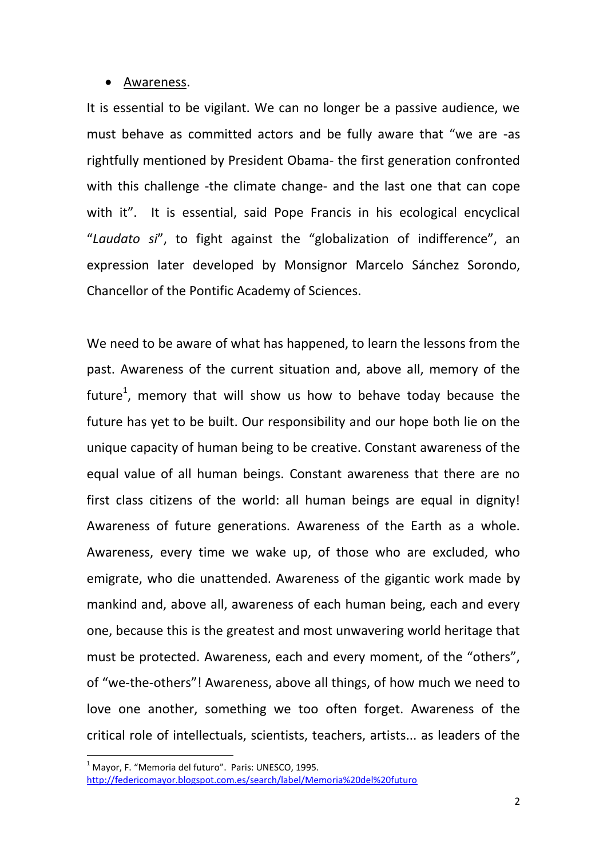#### Awareness.

It is essential to be vigilant. We can no longer be a passive audience, we must behave as committed actors and be fully aware that "we are -as rightfully mentioned by President Obama- the first generation confronted with this challenge -the climate change- and the last one that can cope with it". It is essential, said Pope Francis in his ecological encyclical "*Laudato si*", to fight against the "globalization of indifference", an expression later developed by Monsignor Marcelo Sánchez Sorondo, Chancellor of the Pontific Academy of Sciences.

We need to be aware of what has happened, to learn the lessons from the past. Awareness of the current situation and, above all, memory of the future<sup>1</sup>, memory that will show us how to behave today because the future has yet to be built. Our responsibility and our hope both lie on the unique capacity of human being to be creative. Constant awareness of the equal value of all human beings. Constant awareness that there are no first class citizens of the world: all human beings are equal in dignity! Awareness of future generations. Awareness of the Earth as a whole. Awareness, every time we wake up, of those who are excluded, who emigrate, who die unattended. Awareness of the gigantic work made by mankind and, above all, awareness of each human being, each and every one, because this is the greatest and most unwavering world heritage that must be protected. Awareness, each and every moment, of the "others", of "we-the-others"! Awareness, above all things, of how much we need to love one another, something we too often forget. Awareness of the critical role of intellectuals, scientists, teachers, artists... as leaders of the

 $1$  Mayor, F. "Memoria del futuro". Paris: UNESCO, 1995.

<http://federicomayor.blogspot.com.es/search/label/Memoria%20del%20futuro>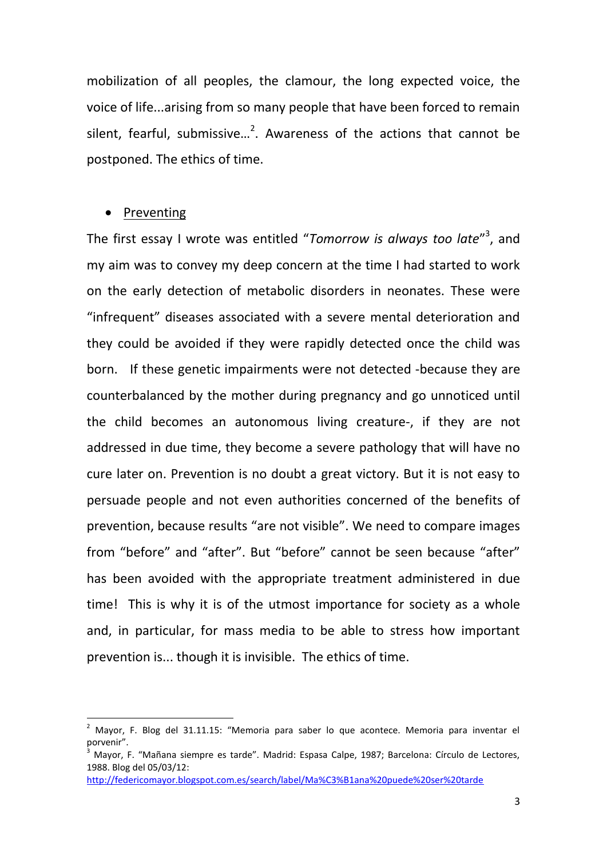mobilization of all peoples, the clamour, the long expected voice, the voice of life...arising from so many people that have been forced to remain silent, fearful, submissive...<sup>2</sup>. Awareness of the actions that cannot be postponed. The ethics of time.

#### Preventing

**.** 

The first essay I wrote was entitled "Tomorrow is always too late"<sup>3</sup>, and my aim was to convey my deep concern at the time I had started to work on the early detection of metabolic disorders in neonates. These were "infrequent" diseases associated with a severe mental deterioration and they could be avoided if they were rapidly detected once the child was born. If these genetic impairments were not detected -because they are counterbalanced by the mother during pregnancy and go unnoticed until the child becomes an autonomous living creature-, if they are not addressed in due time, they become a severe pathology that will have no cure later on. Prevention is no doubt a great victory. But it is not easy to persuade people and not even authorities concerned of the benefits of prevention, because results "are not visible". We need to compare images from "before" and "after". But "before" cannot be seen because "after" has been avoided with the appropriate treatment administered in due time! This is why it is of the utmost importance for society as a whole and, in particular, for mass media to be able to stress how important prevention is... though it is invisible. The ethics of time.

<sup>2</sup> Mayor, F. Blog del 31.11.15: "Memoria para saber lo que acontece. Memoria para inventar el porvenir".

 $^3$  Mayor, F. "Mañana siempre es tarde". Madrid: Espasa Calpe, 1987: Barcelona: Círculo de Lectores, 1988. Blog del 05/03/12:

[http://federicomayor.blogspot.com.es/search/label/Ma%C3%B1ana%20puede%20ser%20tarde](http://federicomayor.blogspot.com.es/search/label/Mañana%20puede%20ser%20tarde)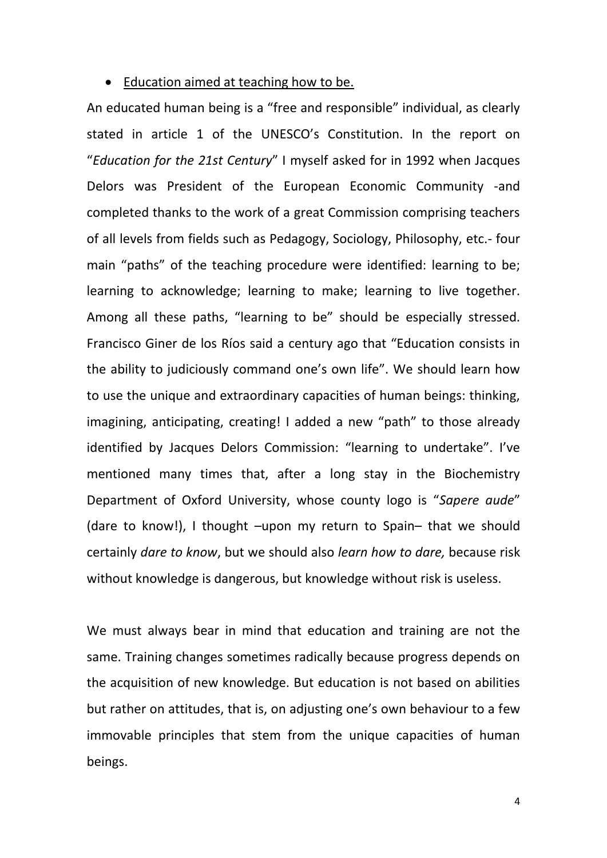#### • Education aimed at teaching how to be.

An educated human being is a "free and responsible" individual, as clearly stated in article 1 of the UNESCO's Constitution. In the report on "*Education for the 21st Century*" I myself asked for in 1992 when Jacques Delors was President of the European Economic Community -and completed thanks to the work of a great Commission comprising teachers of all levels from fields such as Pedagogy, Sociology, Philosophy, etc.- four main "paths" of the teaching procedure were identified: learning to be; learning to acknowledge; learning to make; learning to live together. Among all these paths, "learning to be" should be especially stressed. Francisco Giner de los Ríos said a century ago that "Education consists in the ability to judiciously command one's own life". We should learn how to use the unique and extraordinary capacities of human beings: thinking, imagining, anticipating, creating! I added a new "path" to those already identified by Jacques Delors Commission: "learning to undertake". I've mentioned many times that, after a long stay in the Biochemistry Department of Oxford University, whose county logo is "*Sapere aude*" (dare to know!), I thought –upon my return to Spain– that we should certainly *dare to know*, but we should also *learn how to dare,* because risk without knowledge is dangerous, but knowledge without risk is useless.

We must always bear in mind that education and training are not the same. Training changes sometimes radically because progress depends on the acquisition of new knowledge. But education is not based on abilities but rather on attitudes, that is, on adjusting one's own behaviour to a few immovable principles that stem from the unique capacities of human beings.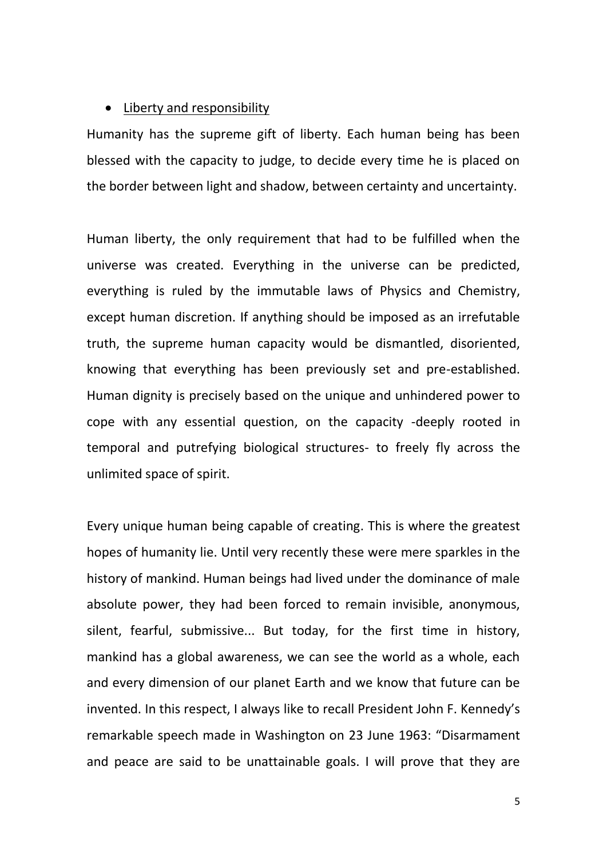### • Liberty and responsibility

Humanity has the supreme gift of liberty. Each human being has been blessed with the capacity to judge, to decide every time he is placed on the border between light and shadow, between certainty and uncertainty.

Human liberty, the only requirement that had to be fulfilled when the universe was created. Everything in the universe can be predicted, everything is ruled by the immutable laws of Physics and Chemistry, except human discretion. If anything should be imposed as an irrefutable truth, the supreme human capacity would be dismantled, disoriented, knowing that everything has been previously set and pre-established. Human dignity is precisely based on the unique and unhindered power to cope with any essential question, on the capacity -deeply rooted in temporal and putrefying biological structures- to freely fly across the unlimited space of spirit.

Every unique human being capable of creating. This is where the greatest hopes of humanity lie. Until very recently these were mere sparkles in the history of mankind. Human beings had lived under the dominance of male absolute power, they had been forced to remain invisible, anonymous, silent, fearful, submissive... But today, for the first time in history, mankind has a global awareness, we can see the world as a whole, each and every dimension of our planet Earth and we know that future can be invented. In this respect, I always like to recall President John F. Kennedy's remarkable speech made in Washington on 23 June 1963: "Disarmament and peace are said to be unattainable goals. I will prove that they are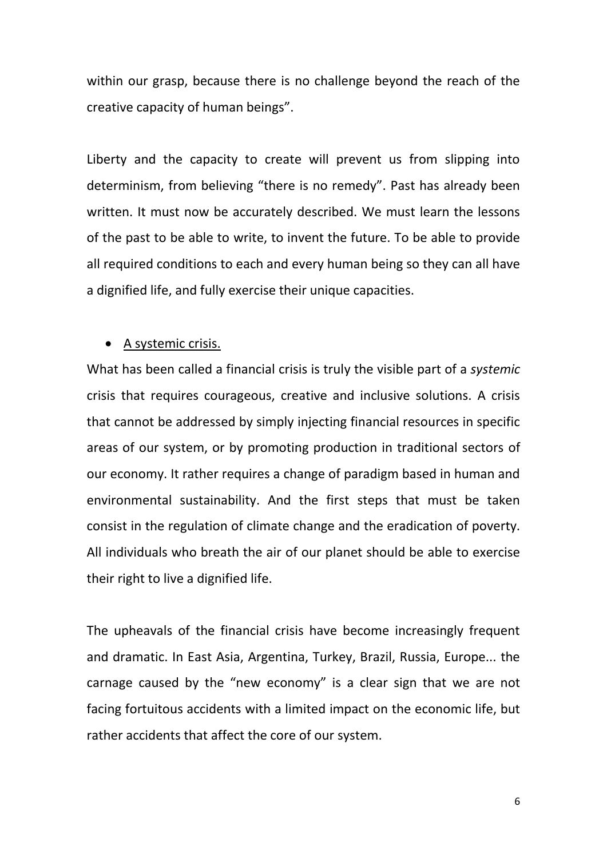within our grasp, because there is no challenge beyond the reach of the creative capacity of human beings".

Liberty and the capacity to create will prevent us from slipping into determinism, from believing "there is no remedy". Past has already been written. It must now be accurately described. We must learn the lessons of the past to be able to write, to invent the future. To be able to provide all required conditions to each and every human being so they can all have a dignified life, and fully exercise their unique capacities.

### A systemic crisis.

What has been called a financial crisis is truly the visible part of a *systemic* crisis that requires courageous, creative and inclusive solutions. A crisis that cannot be addressed by simply injecting financial resources in specific areas of our system, or by promoting production in traditional sectors of our economy. It rather requires a change of paradigm based in human and environmental sustainability. And the first steps that must be taken consist in the regulation of climate change and the eradication of poverty. All individuals who breath the air of our planet should be able to exercise their right to live a dignified life.

The upheavals of the financial crisis have become increasingly frequent and dramatic. In East Asia, Argentina, Turkey, Brazil, Russia, Europe... the carnage caused by the "new economy" is a clear sign that we are not facing fortuitous accidents with a limited impact on the economic life, but rather accidents that affect the core of our system.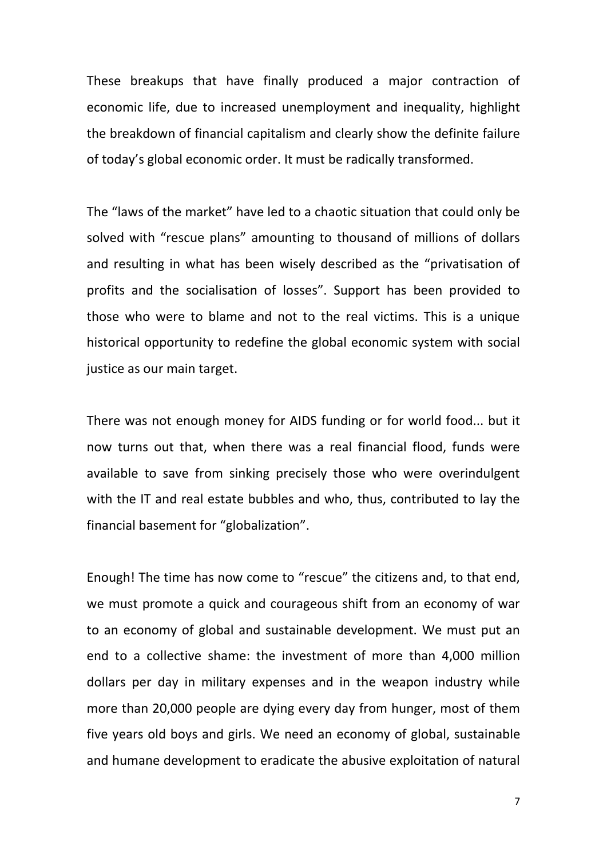These breakups that have finally produced a major contraction of economic life, due to increased unemployment and inequality, highlight the breakdown of financial capitalism and clearly show the definite failure of today's global economic order. It must be radically transformed.

The "laws of the market" have led to a chaotic situation that could only be solved with "rescue plans" amounting to thousand of millions of dollars and resulting in what has been wisely described as the "privatisation of profits and the socialisation of losses". Support has been provided to those who were to blame and not to the real victims. This is a unique historical opportunity to redefine the global economic system with social justice as our main target.

There was not enough money for AIDS funding or for world food... but it now turns out that, when there was a real financial flood, funds were available to save from sinking precisely those who were overindulgent with the IT and real estate bubbles and who, thus, contributed to lay the financial basement for "globalization".

Enough! The time has now come to "rescue" the citizens and, to that end, we must promote a quick and courageous shift from an economy of war to an economy of global and sustainable development. We must put an end to a collective shame: the investment of more than 4,000 million dollars per day in military expenses and in the weapon industry while more than 20,000 people are dying every day from hunger, most of them five years old boys and girls. We need an economy of global, sustainable and humane development to eradicate the abusive exploitation of natural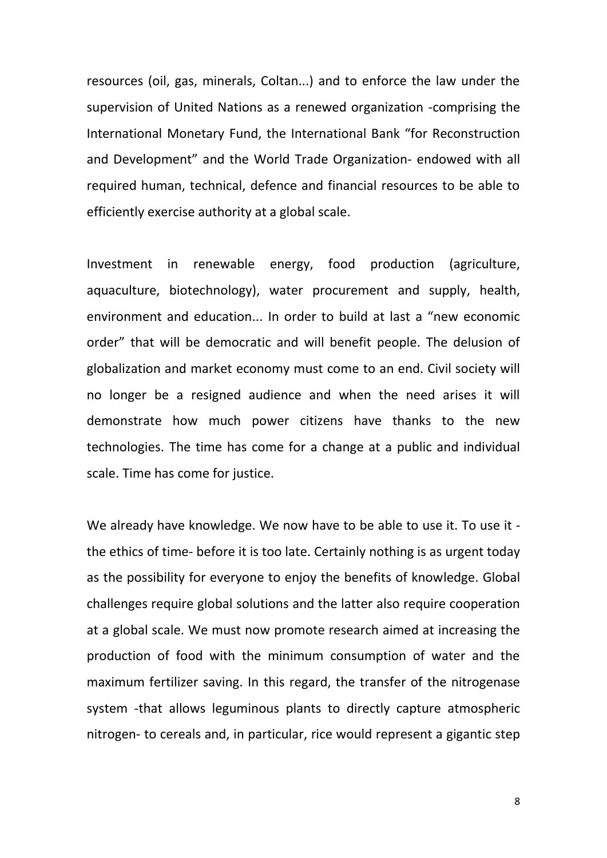resources (oil, gas, minerals, Coltan...) and to enforce the law under the supervision of United Nations as a renewed organization -comprising the International Monetary Fund, the International Bank "for Reconstruction and Development" and the World Trade Organization- endowed with all required human, technical, defence and financial resources to be able to efficiently exercise authority at a global scale.

Investment in renewable energy, food production (agriculture, aquaculture, biotechnology), water procurement and supply, health, environment and education... In order to build at last a "new economic order" that will be democratic and will benefit people. The delusion of globalization and market economy must come to an end. Civil society will no longer be a resigned audience and when the need arises it will demonstrate how much power citizens have thanks to the new technologies. The time has come for a change at a public and individual scale. Time has come for justice.

We already have knowledge. We now have to be able to use it. To use it the ethics of time- before it is too late. Certainly nothing is as urgent today as the possibility for everyone to enjoy the benefits of knowledge. Global challenges require global solutions and the latter also require cooperation at a global scale. We must now promote research aimed at increasing the production of food with the minimum consumption of water and the maximum fertilizer saving. In this regard, the transfer of the nitrogenase system -that allows leguminous plants to directly capture atmospheric nitrogen- to cereals and, in particular, rice would represent a gigantic step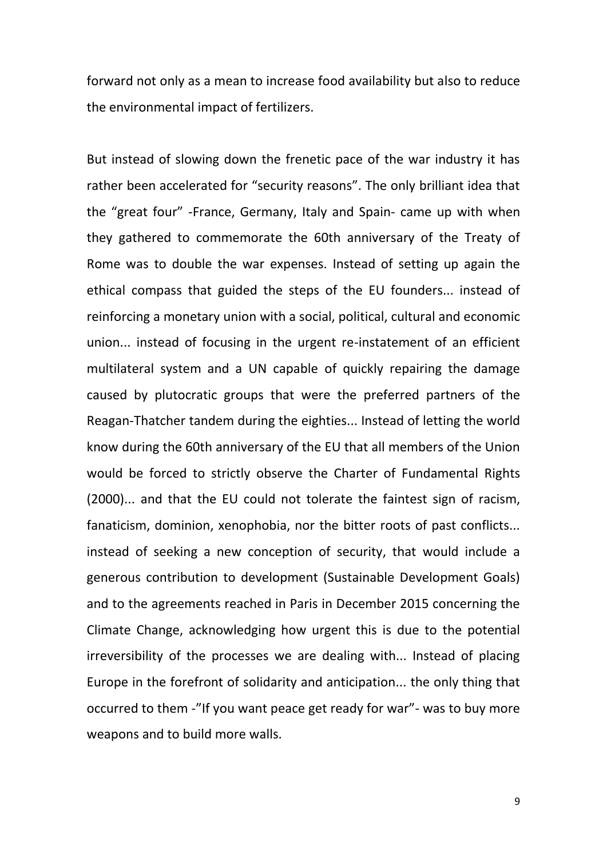forward not only as a mean to increase food availability but also to reduce the environmental impact of fertilizers.

But instead of slowing down the frenetic pace of the war industry it has rather been accelerated for "security reasons". The only brilliant idea that the "great four" -France, Germany, Italy and Spain- came up with when they gathered to commemorate the 60th anniversary of the Treaty of Rome was to double the war expenses. Instead of setting up again the ethical compass that guided the steps of the EU founders... instead of reinforcing a monetary union with a social, political, cultural and economic union... instead of focusing in the urgent re-instatement of an efficient multilateral system and a UN capable of quickly repairing the damage caused by plutocratic groups that were the preferred partners of the Reagan-Thatcher tandem during the eighties... Instead of letting the world know during the 60th anniversary of the EU that all members of the Union would be forced to strictly observe the Charter of Fundamental Rights (2000)... and that the EU could not tolerate the faintest sign of racism, fanaticism, dominion, xenophobia, nor the bitter roots of past conflicts... instead of seeking a new conception of security, that would include a generous contribution to development (Sustainable Development Goals) and to the agreements reached in Paris in December 2015 concerning the Climate Change, acknowledging how urgent this is due to the potential irreversibility of the processes we are dealing with... Instead of placing Europe in the forefront of solidarity and anticipation... the only thing that occurred to them -"If you want peace get ready for war"- was to buy more weapons and to build more walls.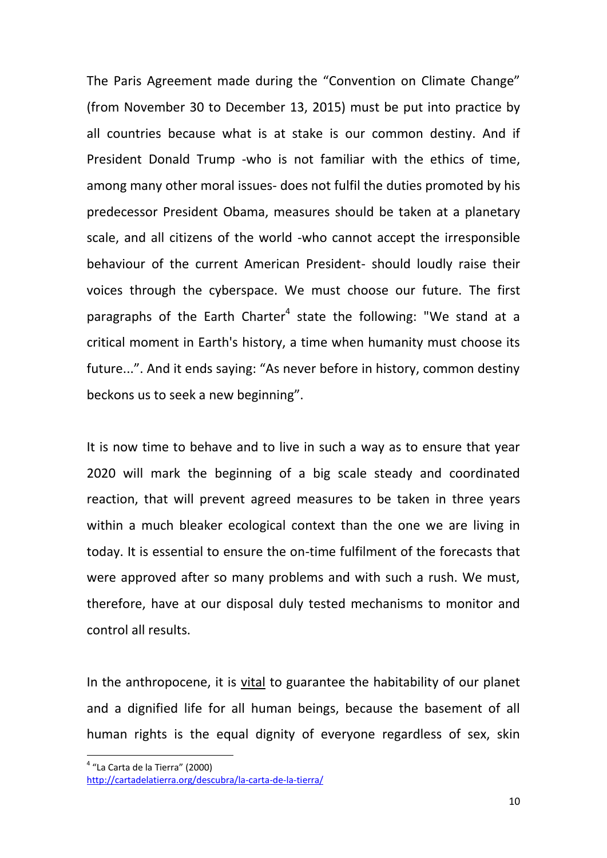The Paris Agreement made during the "Convention on Climate Change" (from November 30 to December 13, 2015) must be put into practice by all countries because what is at stake is our common destiny. And if President Donald Trump -who is not familiar with the ethics of time, among many other moral issues- does not fulfil the duties promoted by his predecessor President Obama, measures should be taken at a planetary scale, and all citizens of the world -who cannot accept the irresponsible behaviour of the current American President- should loudly raise their voices through the cyberspace. We must choose our future. The first paragraphs of the Earth Charter<sup>4</sup> state the following: "We stand at a critical moment in Earth's history, a time when humanity must choose its future...". And it ends saying: "As never before in history, common destiny beckons us to seek a new beginning".

It is now time to behave and to live in such a way as to ensure that year 2020 will mark the beginning of a big scale steady and coordinated reaction, that will prevent agreed measures to be taken in three years within a much bleaker ecological context than the one we are living in today. It is essential to ensure the on-time fulfilment of the forecasts that were approved after so many problems and with such a rush. We must, therefore, have at our disposal duly tested mechanisms to monitor and control all results.

In the anthropocene, it is vital to guarantee the habitability of our planet and a dignified life for all human beings, because the basement of all human rights is the equal dignity of everyone regardless of sex, skin

 4 "La Carta de la Tierra" (2000)

<http://cartadelatierra.org/descubra/la-carta-de-la-tierra/>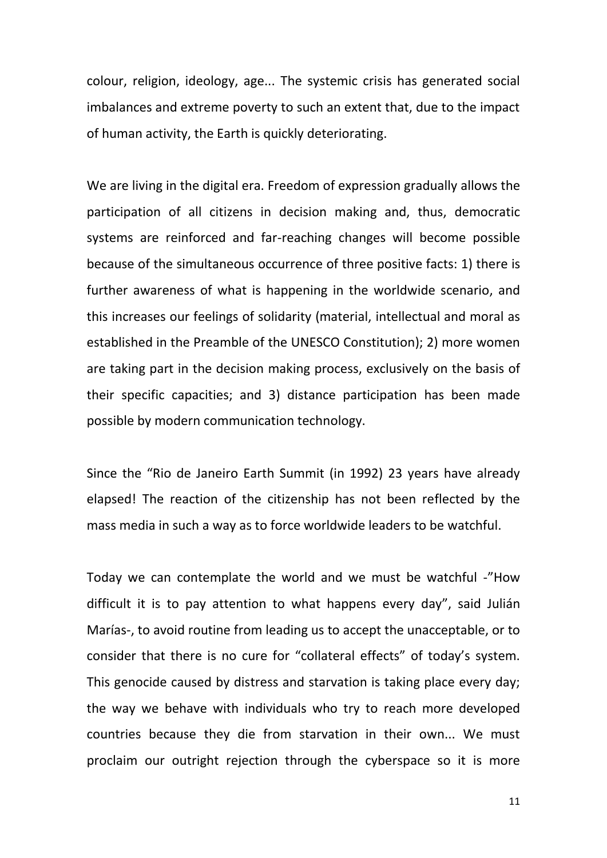colour, religion, ideology, age... The systemic crisis has generated social imbalances and extreme poverty to such an extent that, due to the impact of human activity, the Earth is quickly deteriorating.

We are living in the digital era. Freedom of expression gradually allows the participation of all citizens in decision making and, thus, democratic systems are reinforced and far-reaching changes will become possible because of the simultaneous occurrence of three positive facts: 1) there is further awareness of what is happening in the worldwide scenario, and this increases our feelings of solidarity (material, intellectual and moral as established in the Preamble of the UNESCO Constitution); 2) more women are taking part in the decision making process, exclusively on the basis of their specific capacities; and 3) distance participation has been made possible by modern communication technology.

Since the "Rio de Janeiro Earth Summit (in 1992) 23 years have already elapsed! The reaction of the citizenship has not been reflected by the mass media in such a way as to force worldwide leaders to be watchful.

Today we can contemplate the world and we must be watchful -"How difficult it is to pay attention to what happens every day", said Julián Marías-, to avoid routine from leading us to accept the unacceptable, or to consider that there is no cure for "collateral effects" of today's system. This genocide caused by distress and starvation is taking place every day; the way we behave with individuals who try to reach more developed countries because they die from starvation in their own... We must proclaim our outright rejection through the cyberspace so it is more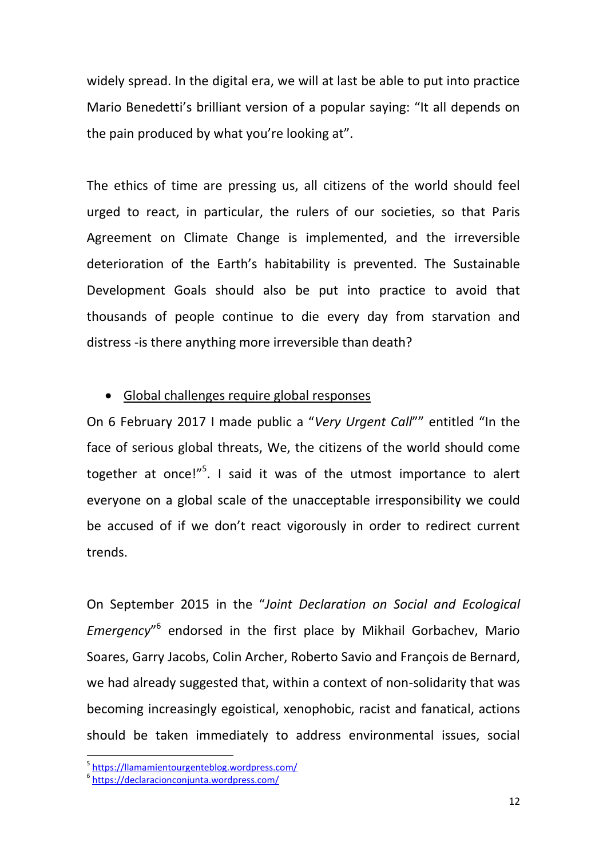widely spread. In the digital era, we will at last be able to put into practice Mario Benedetti's brilliant version of a popular saying: "It all depends on the pain produced by what you're looking at".

The ethics of time are pressing us, all citizens of the world should feel urged to react, in particular, the rulers of our societies, so that Paris Agreement on Climate Change is implemented, and the irreversible deterioration of the Earth's habitability is prevented. The Sustainable Development Goals should also be put into practice to avoid that thousands of people continue to die every day from starvation and distress -is there anything more irreversible than death?

### Global challenges require global responses

On 6 February 2017 I made public a "*Very Urgent Call*"" entitled "In the face of serious global threats, We, the citizens of the world should come together at once!"<sup>5</sup>. I said it was of the utmost importance to alert everyone on a global scale of the unacceptable irresponsibility we could be accused of if we don't react vigorously in order to redirect current trends.

On September 2015 in the "*Joint Declaration on Social and Ecological*  Emergency"<sup>6</sup> endorsed in the first place by Mikhail Gorbachev, Mario Soares, Garry Jacobs, Colin Archer, Roberto Savio and François de Bernard, we had already suggested that, within a context of non-solidarity that was becoming increasingly egoistical, xenophobic, racist and fanatical, actions should be taken immediately to address environmental issues, social

<sup>-&</sup>lt;br><sup>5</sup> <https://llamamientourgenteblog.wordpress.com/>

<sup>6</sup> <https://declaracionconjunta.wordpress.com/>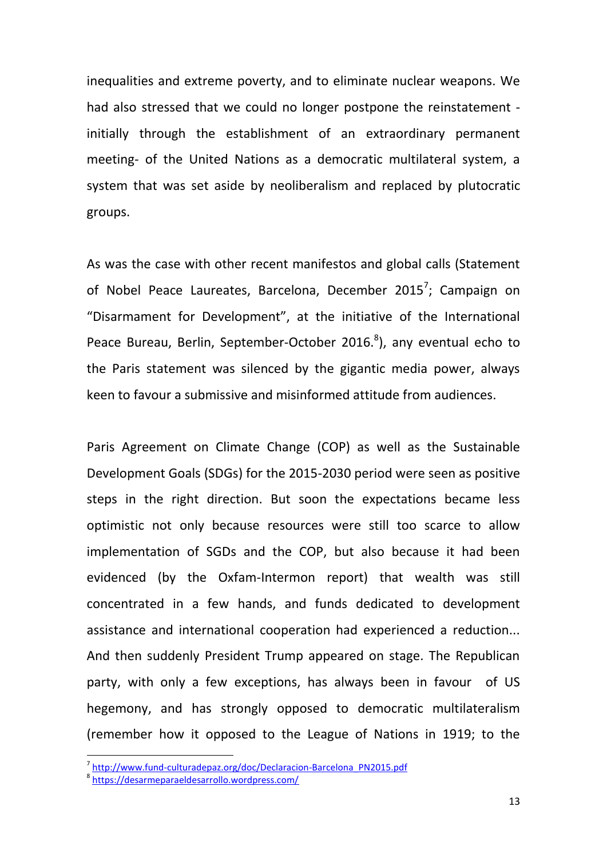inequalities and extreme poverty, and to eliminate nuclear weapons. We had also stressed that we could no longer postpone the reinstatement initially through the establishment of an extraordinary permanent meeting- of the United Nations as a democratic multilateral system, a system that was set aside by neoliberalism and replaced by plutocratic groups.

As was the case with other recent manifestos and global calls (Statement of Nobel Peace Laureates, Barcelona, December 2015<sup>7</sup>; Campaign on "Disarmament for Development", at the initiative of the International Peace Bureau, Berlin, September-October 2016.<sup>8</sup>), any eventual echo to the Paris statement was silenced by the gigantic media power, always keen to favour a submissive and misinformed attitude from audiences.

Paris Agreement on Climate Change (COP) as well as the Sustainable Development Goals (SDGs) for the 2015-2030 period were seen as positive steps in the right direction. But soon the expectations became less optimistic not only because resources were still too scarce to allow implementation of SGDs and the COP, but also because it had been evidenced (by the Oxfam-Intermon report) that wealth was still concentrated in a few hands, and funds dedicated to development assistance and international cooperation had experienced a reduction... And then suddenly President Trump appeared on stage. The Republican party, with only a few exceptions, has always been in favour of US hegemony, and has strongly opposed to democratic multilateralism (remember how it opposed to the League of Nations in 1919; to the

<sup>&</sup>lt;sup>7</sup> [http://www.fund-culturadepaz.org/doc/Declaracion-Barcelona\\_PN2015.pdf](http://www.fund-culturadepaz.org/doc/Declaracion-Barcelona_PN2015.pdf)

<sup>8</sup> <https://desarmeparaeldesarrollo.wordpress.com/>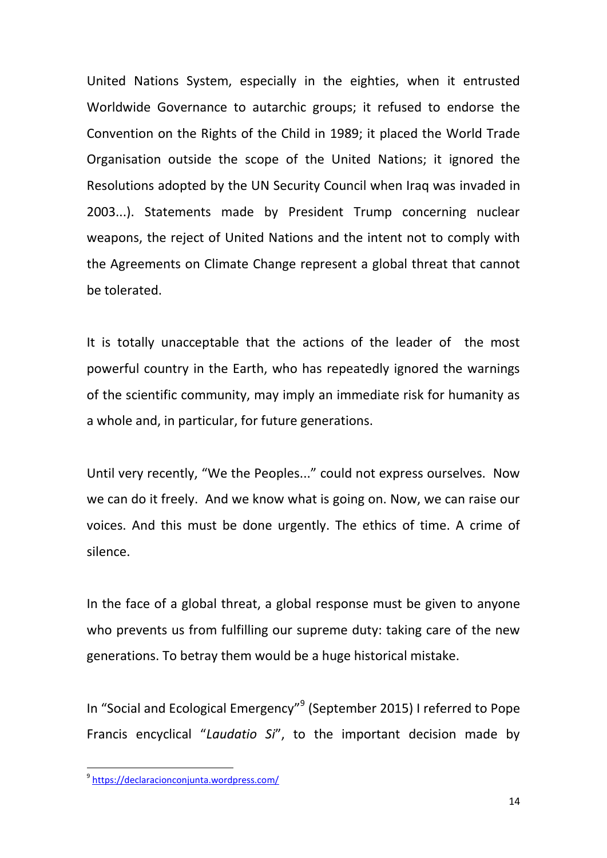United Nations System, especially in the eighties, when it entrusted Worldwide Governance to autarchic groups; it refused to endorse the Convention on the Rights of the Child in 1989; it placed the World Trade Organisation outside the scope of the United Nations; it ignored the Resolutions adopted by the UN Security Council when Iraq was invaded in 2003...). Statements made by President Trump concerning nuclear weapons, the reject of United Nations and the intent not to comply with the Agreements on Climate Change represent a global threat that cannot be tolerated.

It is totally unacceptable that the actions of the leader of the most powerful country in the Earth, who has repeatedly ignored the warnings of the scientific community, may imply an immediate risk for humanity as a whole and, in particular, for future generations.

Until very recently, "We the Peoples..." could not express ourselves. Now we can do it freely. And we know what is going on. Now, we can raise our voices. And this must be done urgently. The ethics of time. A crime of silence.

In the face of a global threat, a global response must be given to anyone who prevents us from fulfilling our supreme duty: taking care of the new generations. To betray them would be a huge historical mistake.

In "Social and Ecological Emergency"<sup>9</sup> (September 2015) I referred to Pope Francis encyclical "*Laudatio Si*", to the important decision made by

\_<br><sup>9</sup> <u><https://declaracionconjunta.wordpress.com/></u>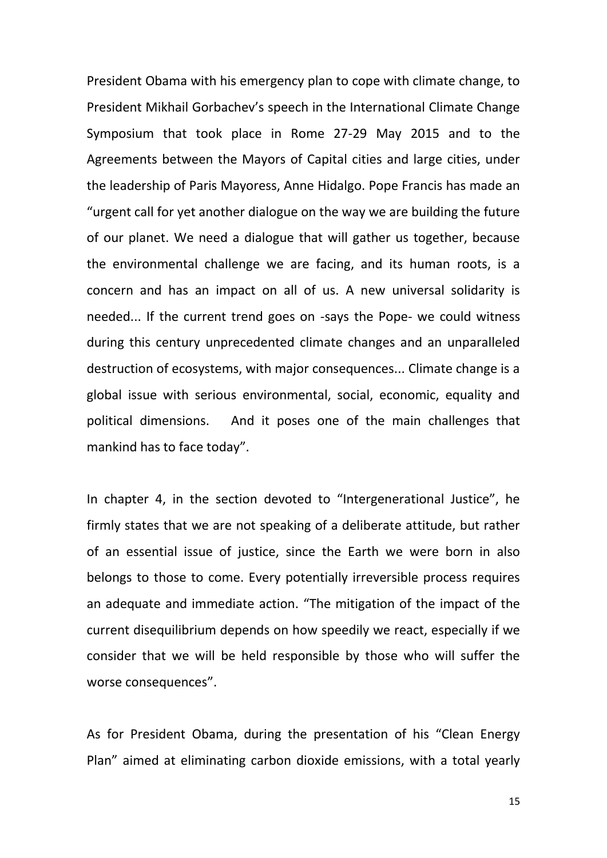President Obama with his emergency plan to cope with climate change, to President Mikhail Gorbachev's speech in the International Climate Change Symposium that took place in Rome 27-29 May 2015 and to the Agreements between the Mayors of Capital cities and large cities, under the leadership of Paris Mayoress, Anne Hidalgo. Pope Francis has made an "urgent call for yet another dialogue on the way we are building the future of our planet. We need a dialogue that will gather us together, because the environmental challenge we are facing, and its human roots, is a concern and has an impact on all of us. A new universal solidarity is needed... If the current trend goes on -says the Pope- we could witness during this century unprecedented climate changes and an unparalleled destruction of ecosystems, with major consequences... Climate change is a global issue with serious environmental, social, economic, equality and political dimensions. And it poses one of the main challenges that mankind has to face today".

In chapter 4, in the section devoted to "Intergenerational Justice", he firmly states that we are not speaking of a deliberate attitude, but rather of an essential issue of justice, since the Earth we were born in also belongs to those to come. Every potentially irreversible process requires an adequate and immediate action. "The mitigation of the impact of the current disequilibrium depends on how speedily we react, especially if we consider that we will be held responsible by those who will suffer the worse consequences".

As for President Obama, during the presentation of his "Clean Energy Plan" aimed at eliminating carbon dioxide emissions, with a total yearly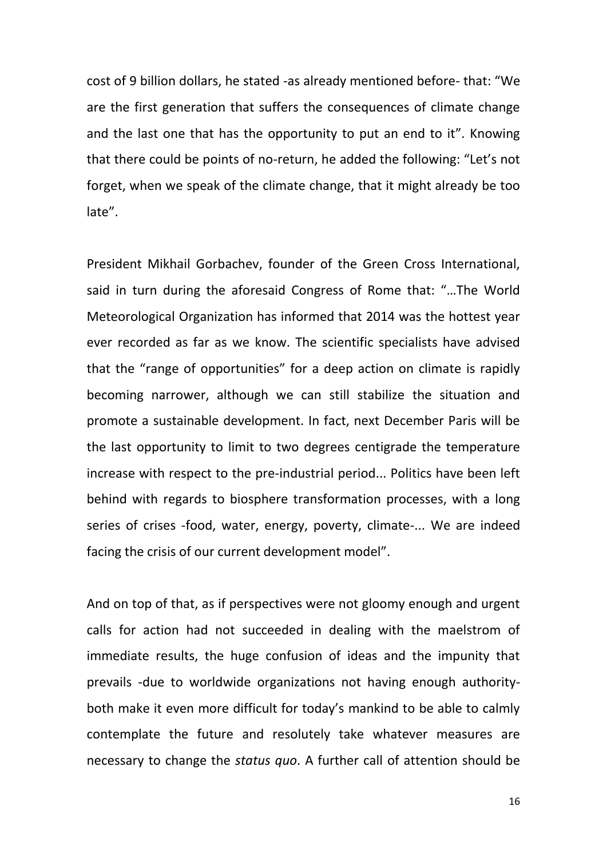cost of 9 billion dollars, he stated -as already mentioned before- that: "We are the first generation that suffers the consequences of climate change and the last one that has the opportunity to put an end to it". Knowing that there could be points of no-return, he added the following: "Let's not forget, when we speak of the climate change, that it might already be too late".

President Mikhail Gorbachev, founder of the Green Cross International, said in turn during the aforesaid Congress of Rome that: "…The World Meteorological Organization has informed that 2014 was the hottest year ever recorded as far as we know. The scientific specialists have advised that the "range of opportunities" for a deep action on climate is rapidly becoming narrower, although we can still stabilize the situation and promote a sustainable development. In fact, next December Paris will be the last opportunity to limit to two degrees centigrade the temperature increase with respect to the pre-industrial period... Politics have been left behind with regards to biosphere transformation processes, with a long series of crises -food, water, energy, poverty, climate-... We are indeed facing the crisis of our current development model".

And on top of that, as if perspectives were not gloomy enough and urgent calls for action had not succeeded in dealing with the maelstrom of immediate results, the huge confusion of ideas and the impunity that prevails -due to worldwide organizations not having enough authorityboth make it even more difficult for today's mankind to be able to calmly contemplate the future and resolutely take whatever measures are necessary to change the *status quo*. A further call of attention should be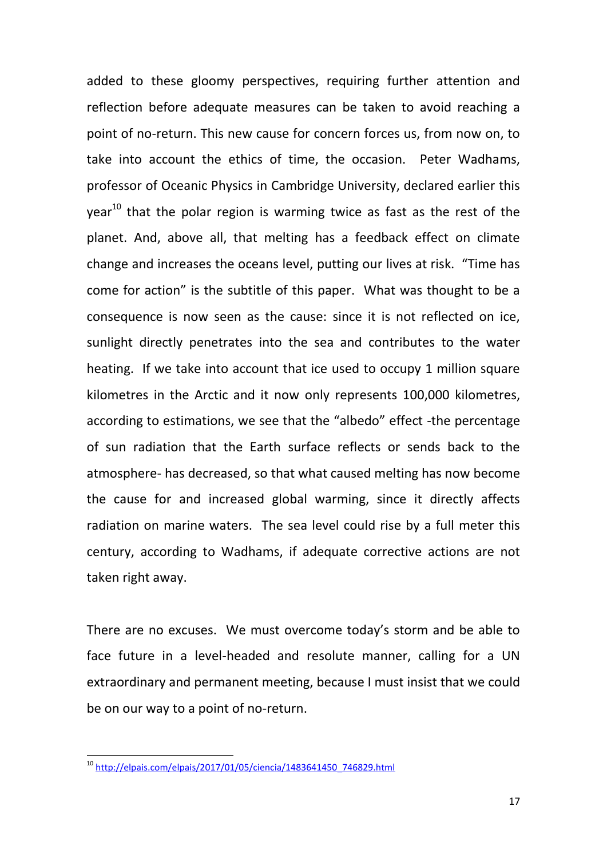added to these gloomy perspectives, requiring further attention and reflection before adequate measures can be taken to avoid reaching a point of no-return. This new cause for concern forces us, from now on, to take into account the ethics of time, the occasion. Peter Wadhams, professor of Oceanic Physics in Cambridge University, declared earlier this  $year<sup>10</sup>$  that the polar region is warming twice as fast as the rest of the planet. And, above all, that melting has a feedback effect on climate change and increases the oceans level, putting our lives at risk. "Time has come for action" is the subtitle of this paper. What was thought to be a consequence is now seen as the cause: since it is not reflected on ice, sunlight directly penetrates into the sea and contributes to the water heating. If we take into account that ice used to occupy 1 million square kilometres in the Arctic and it now only represents 100,000 kilometres, according to estimations, we see that the "albedo" effect -the percentage of sun radiation that the Earth surface reflects or sends back to the atmosphere- has decreased, so that what caused melting has now become the cause for and increased global warming, since it directly affects radiation on marine waters. The sea level could rise by a full meter this century, according to Wadhams, if adequate corrective actions are not taken right away.

There are no excuses. We must overcome today's storm and be able to face future in a level-headed and resolute manner, calling for a UN extraordinary and permanent meeting, because I must insist that we could be on our way to a point of no-return.

<sup>&</sup>lt;sup>10</sup> [http://elpais.com/elpais/2017/01/05/ciencia/1483641450\\_746829.html](http://elpais.com/elpais/2017/01/05/ciencia/1483641450_746829.html)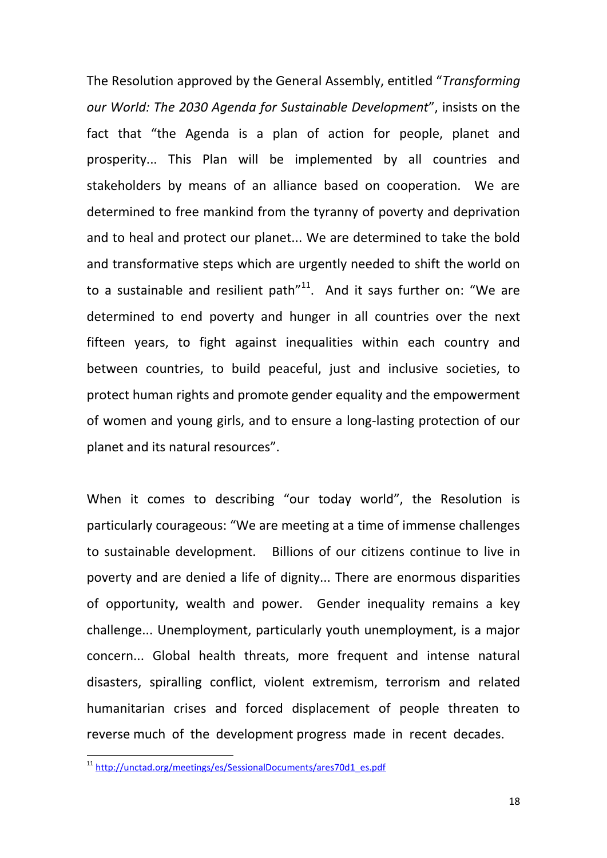The Resolution approved by the General Assembly, entitled "*Transforming our World: The 2030 Agenda for Sustainable Development*", insists on the fact that "the Agenda is a plan of action for people, planet and prosperity... This Plan will be implemented by all countries and stakeholders by means of an alliance based on cooperation. We are determined to free mankind from the tyranny of poverty and deprivation and to heal and protect our planet... We are determined to take the bold and transformative steps which are urgently needed to shift the world on to a sustainable and resilient path $11$ <sup>11</sup>. And it says further on: "We are determined to end poverty and hunger in all countries over the next fifteen years, to fight against inequalities within each country and between countries, to build peaceful, just and inclusive societies, to protect human rights and promote gender equality and the empowerment of women and young girls, and to ensure a long-lasting protection of our planet and its natural resources".

When it comes to describing "our today world", the Resolution is particularly courageous: "We are meeting at a time of immense challenges to sustainable development. Billions of our citizens continue to live in poverty and are denied a life of dignity... There are enormous disparities of opportunity, wealth and power. Gender inequality remains a key challenge... Unemployment, particularly youth unemployment, is a major concern... Global health threats, more frequent and intense natural disasters, spiralling conflict, violent extremism, terrorism and related humanitarian crises and forced displacement of people threaten to reverse much of the development progress made in recent decades.

<sup>&</sup>lt;sup>11</sup> [http://unctad.org/meetings/es/SessionalDocuments/ares70d1\\_es.pdf](http://unctad.org/meetings/es/SessionalDocuments/ares70d1_es.pdf)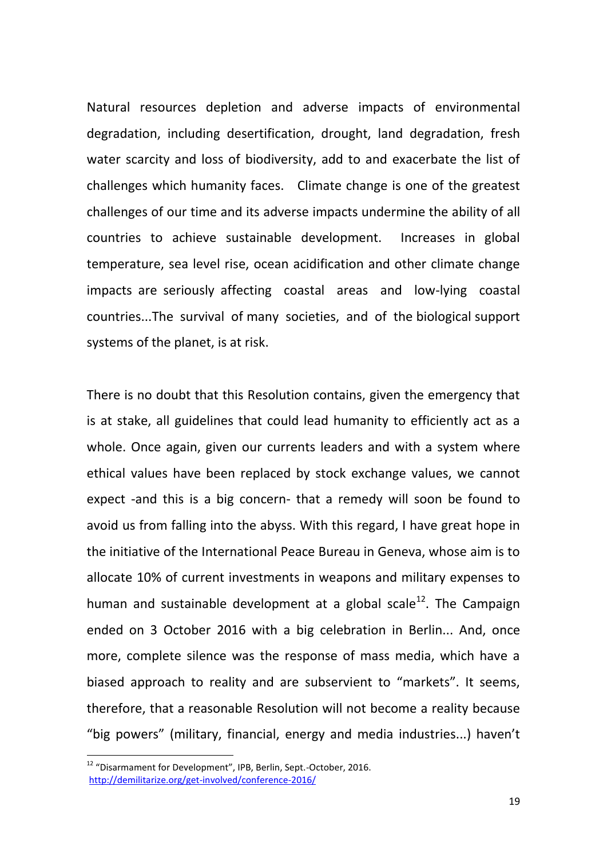Natural resources depletion and adverse impacts of environmental degradation, including desertification, drought, land degradation, fresh water scarcity and loss of biodiversity, add to and exacerbate the list of challenges which humanity faces. Climate change is one of the greatest challenges of our time and its adverse impacts undermine the ability of all countries to achieve sustainable development. Increases in global temperature, sea level rise, ocean acidification and other climate change impacts are seriously affecting coastal areas and low-lying coastal countries...The survival of many societies, and of the biological support systems of the planet, is at risk.

There is no doubt that this Resolution contains, given the emergency that is at stake, all guidelines that could lead humanity to efficiently act as a whole. Once again, given our currents leaders and with a system where ethical values have been replaced by stock exchange values, we cannot expect -and this is a big concern- that a remedy will soon be found to avoid us from falling into the abyss. With this regard, I have great hope in the initiative of the International Peace Bureau in Geneva, whose aim is to allocate 10% of current investments in weapons and military expenses to human and sustainable development at a global scale<sup>12</sup>. The Campaign ended on 3 October 2016 with a big celebration in Berlin... And, once more, complete silence was the response of mass media, which have a biased approach to reality and are subservient to "markets". It seems, therefore, that a reasonable Resolution will not become a reality because "big powers" (military, financial, energy and media industries...) haven't

 $12$  "Disarmament for Development", IPB, Berlin, Sept.-October, 2016. <http://demilitarize.org/get-involved/conference-2016/>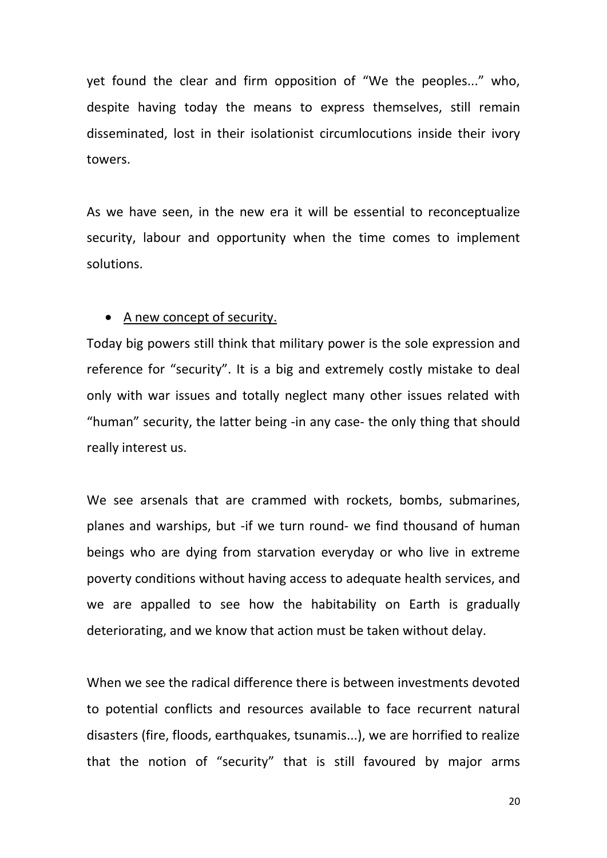yet found the clear and firm opposition of "We the peoples..." who, despite having today the means to express themselves, still remain disseminated, lost in their isolationist circumlocutions inside their ivory towers.

As we have seen, in the new era it will be essential to reconceptualize security, labour and opportunity when the time comes to implement solutions.

### A new concept of security.

Today big powers still think that military power is the sole expression and reference for "security". It is a big and extremely costly mistake to deal only with war issues and totally neglect many other issues related with "human" security, the latter being -in any case- the only thing that should really interest us.

We see arsenals that are crammed with rockets, bombs, submarines, planes and warships, but -if we turn round- we find thousand of human beings who are dying from starvation everyday or who live in extreme poverty conditions without having access to adequate health services, and we are appalled to see how the habitability on Earth is gradually deteriorating, and we know that action must be taken without delay.

When we see the radical difference there is between investments devoted to potential conflicts and resources available to face recurrent natural disasters (fire, floods, earthquakes, tsunamis...), we are horrified to realize that the notion of "security" that is still favoured by major arms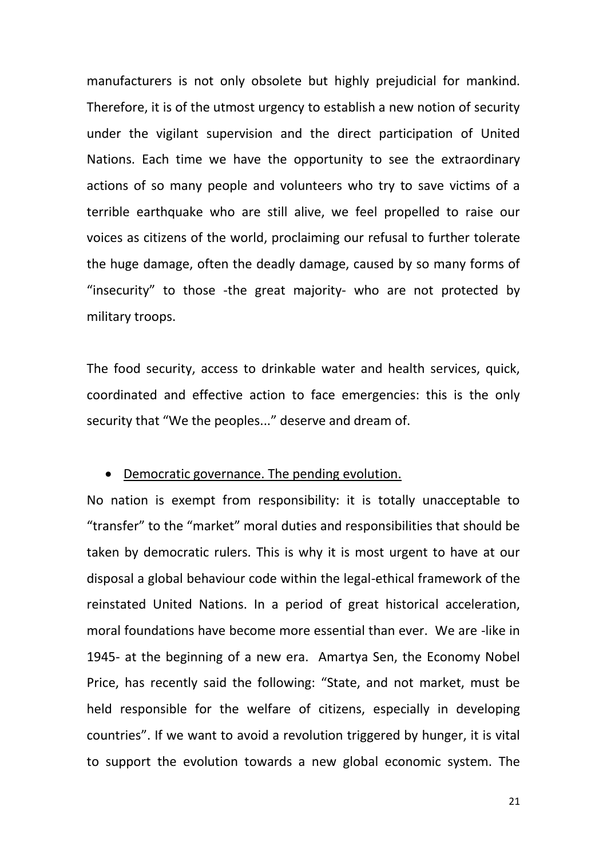manufacturers is not only obsolete but highly prejudicial for mankind. Therefore, it is of the utmost urgency to establish a new notion of security under the vigilant supervision and the direct participation of United Nations. Each time we have the opportunity to see the extraordinary actions of so many people and volunteers who try to save victims of a terrible earthquake who are still alive, we feel propelled to raise our voices as citizens of the world, proclaiming our refusal to further tolerate the huge damage, often the deadly damage, caused by so many forms of "insecurity" to those -the great majority- who are not protected by military troops.

The food security, access to drinkable water and health services, quick, coordinated and effective action to face emergencies: this is the only security that "We the peoples..." deserve and dream of.

#### Democratic governance. The pending evolution.

No nation is exempt from responsibility: it is totally unacceptable to "transfer" to the "market" moral duties and responsibilities that should be taken by democratic rulers. This is why it is most urgent to have at our disposal a global behaviour code within the legal-ethical framework of the reinstated United Nations. In a period of great historical acceleration, moral foundations have become more essential than ever. We are -like in 1945- at the beginning of a new era. Amartya Sen, the Economy Nobel Price, has recently said the following: "State, and not market, must be held responsible for the welfare of citizens, especially in developing countries". If we want to avoid a revolution triggered by hunger, it is vital to support the evolution towards a new global economic system. The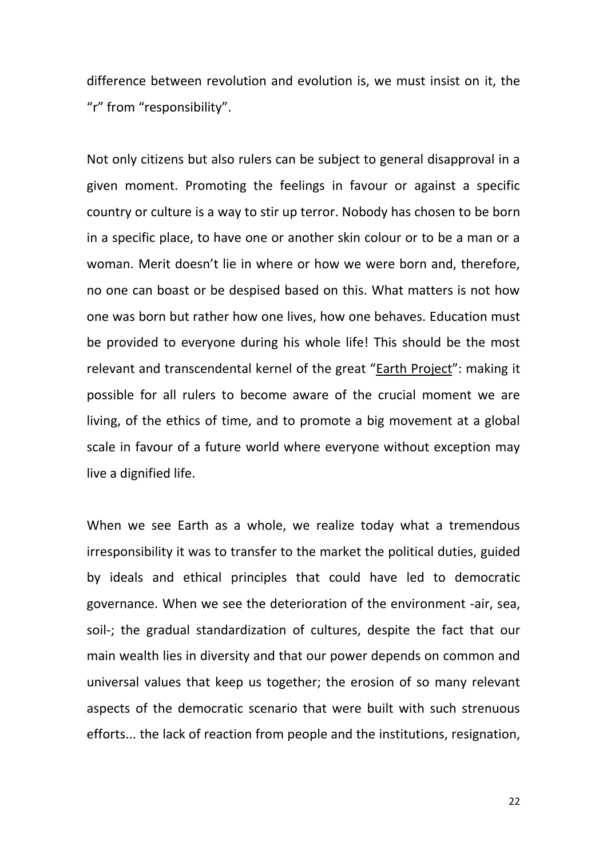difference between revolution and evolution is, we must insist on it, the "r" from "responsibility".

Not only citizens but also rulers can be subject to general disapproval in a given moment. Promoting the feelings in favour or against a specific country or culture is a way to stir up terror. Nobody has chosen to be born in a specific place, to have one or another skin colour or to be a man or a woman. Merit doesn't lie in where or how we were born and, therefore, no one can boast or be despised based on this. What matters is not how one was born but rather how one lives, how one behaves. Education must be provided to everyone during his whole life! This should be the most relevant and transcendental kernel of the great "Earth Project": making it possible for all rulers to become aware of the crucial moment we are living, of the ethics of time, and to promote a big movement at a global scale in favour of a future world where everyone without exception may live a dignified life.

When we see Earth as a whole, we realize today what a tremendous irresponsibility it was to transfer to the market the political duties, guided by ideals and ethical principles that could have led to democratic governance. When we see the deterioration of the environment -air, sea, soil-; the gradual standardization of cultures, despite the fact that our main wealth lies in diversity and that our power depends on common and universal values that keep us together; the erosion of so many relevant aspects of the democratic scenario that were built with such strenuous efforts... the lack of reaction from people and the institutions, resignation,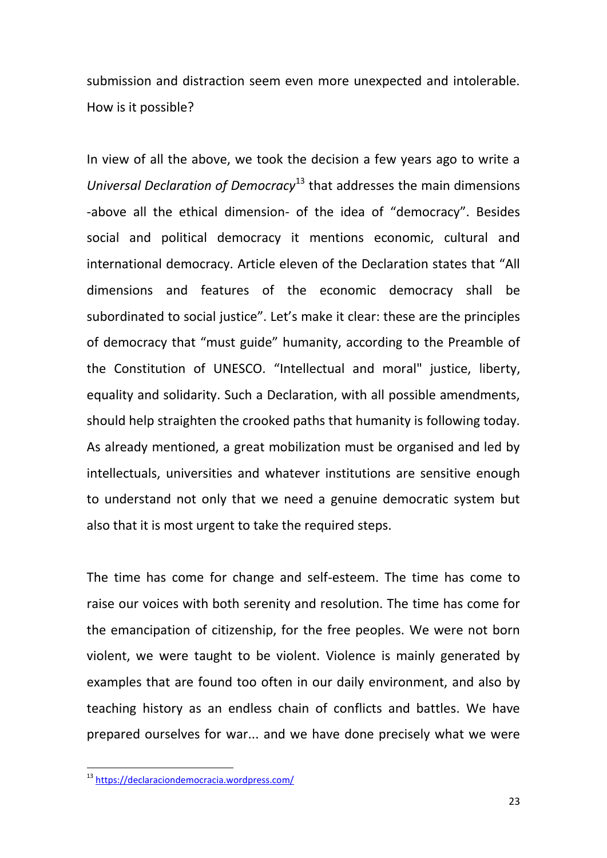submission and distraction seem even more unexpected and intolerable. How is it possible?

In view of all the above, we took the decision a few years ago to write a *Universal Declaration of Democracy*<sup>13</sup> that addresses the main dimensions -above all the ethical dimension- of the idea of "democracy". Besides social and political democracy it mentions economic, cultural and international democracy. Article eleven of the Declaration states that "All dimensions and features of the economic democracy shall be subordinated to social justice". Let's make it clear: these are the principles of democracy that "must guide" humanity, according to the Preamble of the Constitution of UNESCO. "Intellectual and moral" justice, liberty, equality and solidarity. Such a Declaration, with all possible amendments, should help straighten the crooked paths that humanity is following today. As already mentioned, a great mobilization must be organised and led by intellectuals, universities and whatever institutions are sensitive enough to understand not only that we need a genuine democratic system but also that it is most urgent to take the required steps.

The time has come for change and self-esteem. The time has come to raise our voices with both serenity and resolution. The time has come for the emancipation of citizenship, for the free peoples. We were not born violent, we were taught to be violent. Violence is mainly generated by examples that are found too often in our daily environment, and also by teaching history as an endless chain of conflicts and battles. We have prepared ourselves for war... and we have done precisely what we were

**.** 

<sup>&</sup>lt;sup>13</sup> https://declaraciondemocracia.wordpress.com/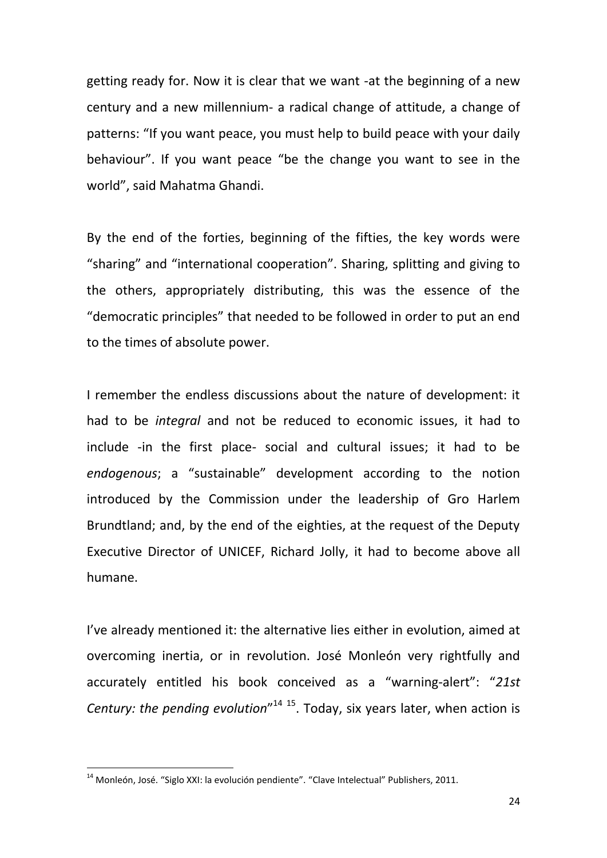getting ready for. Now it is clear that we want -at the beginning of a new century and a new millennium- a radical change of attitude, a change of patterns: "If you want peace, you must help to build peace with your daily behaviour". If you want peace "be the change you want to see in the world", said Mahatma Ghandi.

By the end of the forties, beginning of the fifties, the key words were "sharing" and "international cooperation". Sharing, splitting and giving to the others, appropriately distributing, this was the essence of the "democratic principles" that needed to be followed in order to put an end to the times of absolute power.

I remember the endless discussions about the nature of development: it had to be *integral* and not be reduced to economic issues, it had to include -in the first place- social and cultural issues; it had to be *endogenous*; a "sustainable" development according to the notion introduced by the Commission under the leadership of Gro Harlem Brundtland; and, by the end of the eighties, at the request of the Deputy Executive Director of UNICEF, Richard Jolly, it had to become above all humane.

I've already mentioned it: the alternative lies either in evolution, aimed at overcoming inertia, or in revolution. José Monleón very rightfully and accurately entitled his book conceived as a "warning-alert": "*21st*  Century: the pending evolution<sup>"14 15</sup>. Today, six years later, when action is

**.** 

<sup>&</sup>lt;sup>14</sup> Monleón, José. "Siglo XXI: la evolución pendiente". "Clave Intelectual" Publishers, 2011.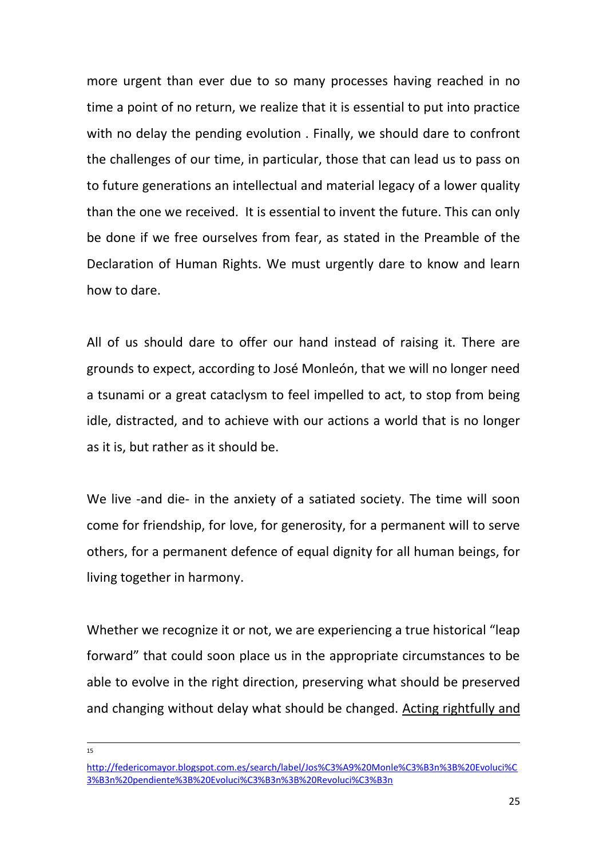more urgent than ever due to so many processes having reached in no time a point of no return, we realize that it is essential to put into practice with no delay the pending evolution . Finally, we should dare to confront the challenges of our time, in particular, those that can lead us to pass on to future generations an intellectual and material legacy of a lower quality than the one we received. It is essential to invent the future. This can only be done if we free ourselves from fear, as stated in the Preamble of the Declaration of Human Rights. We must urgently dare to know and learn how to dare.

All of us should dare to offer our hand instead of raising it. There are grounds to expect, according to José Monleón, that we will no longer need a tsunami or a great cataclysm to feel impelled to act, to stop from being idle, distracted, and to achieve with our actions a world that is no longer as it is, but rather as it should be.

We live -and die- in the anxiety of a satiated society. The time will soon come for friendship, for love, for generosity, for a permanent will to serve others, for a permanent defence of equal dignity for all human beings, for living together in harmony.

Whether we recognize it or not, we are experiencing a true historical "leap forward" that could soon place us in the appropriate circumstances to be able to evolve in the right direction, preserving what should be preserved and changing without delay what should be changed. Acting rightfully and

 $\frac{1}{15}$ 

[http://federicomayor.blogspot.com.es/search/label/Jos%C3%A9%20Monle%C3%B3n%3B%20Evoluci%C](http://federicomayor.blogspot.com.es/search/label/José%20Monleón;%20Evolución%20pendiente;%20Evolución;%20Revolución) [3%B3n%20pendiente%3B%20Evoluci%C3%B3n%3B%20Revoluci%C3%B3n](http://federicomayor.blogspot.com.es/search/label/José%20Monleón;%20Evolución%20pendiente;%20Evolución;%20Revolución)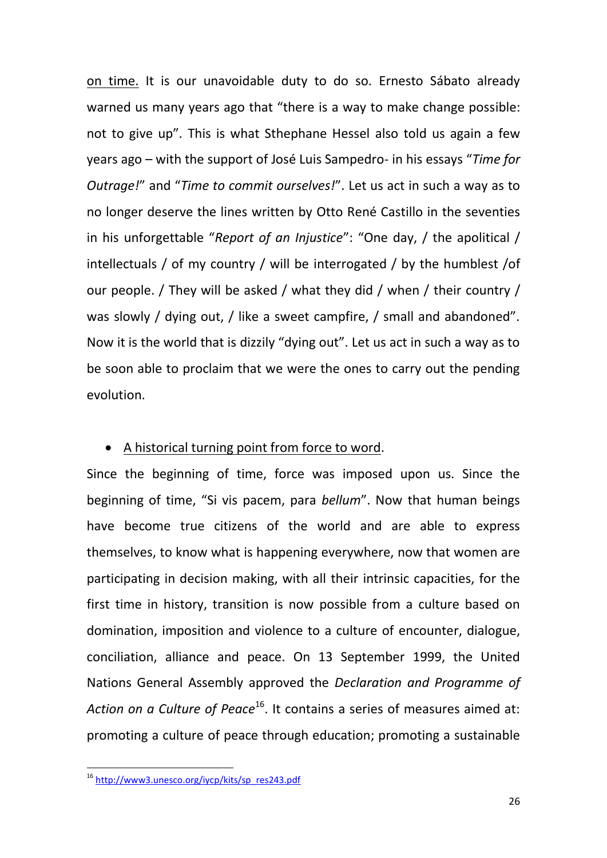on time. It is our unavoidable duty to do so. Ernesto Sábato already warned us many years ago that "there is a way to make change possible: not to give up". This is what Sthephane Hessel also told us again a few years ago – with the support of José Luis Sampedro- in his essays "*Time for Outrage!*" and "*Time to commit ourselves!*". Let us act in such a way as to no longer deserve the lines written by Otto René Castillo in the seventies in his unforgettable "*Report of an Injustice*": "One day, / the apolitical / intellectuals / of my country / will be interrogated / by the humblest /of our people. / They will be asked / what they did / when / their country / was slowly / dying out, / like a sweet campfire, / small and abandoned". Now it is the world that is dizzily "dying out". Let us act in such a way as to be soon able to proclaim that we were the ones to carry out the pending evolution.

## • A historical turning point from force to word.

Since the beginning of time, force was imposed upon us. Since the beginning of time, "Si vis pacem, para *bellum*". Now that human beings have become true citizens of the world and are able to express themselves, to know what is happening everywhere, now that women are participating in decision making, with all their intrinsic capacities, for the first time in history, transition is now possible from a culture based on domination, imposition and violence to a culture of encounter, dialogue, conciliation, alliance and peace. On 13 September 1999, the United Nations General Assembly approved the *Declaration and Programme of*  Action on a Culture of Peace<sup>16</sup>. It contains a series of measures aimed at: promoting a culture of peace through education; promoting a sustainable

**.** 

<sup>&</sup>lt;sup>16</sup> [http://www3.unesco.org/iycp/kits/sp\\_res243.pdf](http://www3.unesco.org/iycp/kits/sp_res243.pdf)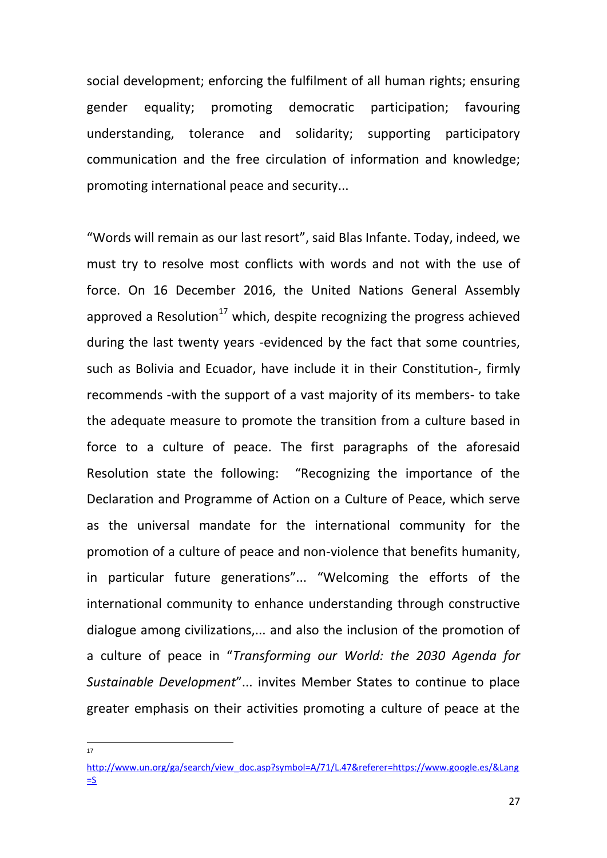social development; enforcing the fulfilment of all human rights; ensuring gender equality; promoting democratic participation; favouring understanding, tolerance and solidarity; supporting participatory communication and the free circulation of information and knowledge; promoting international peace and security...

"Words will remain as our last resort", said Blas Infante. Today, indeed, we must try to resolve most conflicts with words and not with the use of force. On 16 December 2016, the United Nations General Assembly approved a Resolution<sup>17</sup> which, despite recognizing the progress achieved during the last twenty years -evidenced by the fact that some countries, such as Bolivia and Ecuador, have include it in their Constitution-, firmly recommends -with the support of a vast majority of its members- to take the adequate measure to promote the transition from a culture based in force to a culture of peace. The first paragraphs of the aforesaid Resolution state the following: "Recognizing the importance of the Declaration and Programme of Action on a Culture of Peace, which serve as the universal mandate for the international community for the promotion of a culture of peace and non-violence that benefits humanity, in particular future generations"... "Welcoming the efforts of the international community to enhance understanding through constructive dialogue among civilizations,... and also the inclusion of the promotion of a culture of peace in "*Transforming our World: the 2030 Agenda for Sustainable Development*"... invites Member States to continue to place greater emphasis on their activities promoting a culture of peace at the

**.** 17

[http://www.un.org/ga/search/view\\_doc.asp?symbol=A/71/L.47&referer=https://www.google.es/&Lang](http://www.un.org/ga/search/view_doc.asp?symbol=A/71/L.47&referer=https://www.google.es/&Lang=S)  $=$ S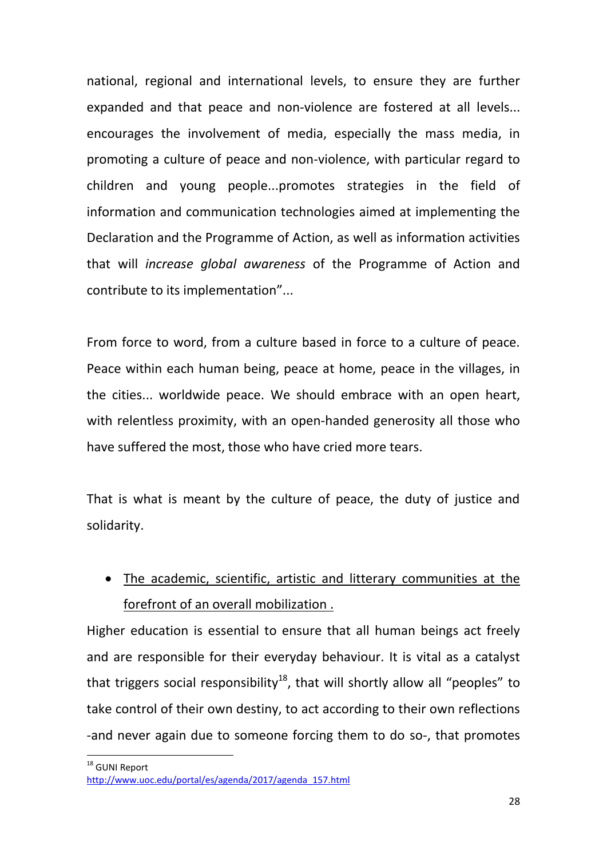national, regional and international levels, to ensure they are further expanded and that peace and non-violence are fostered at all levels... encourages the involvement of media, especially the mass media, in promoting a culture of peace and non-violence, with particular regard to children and young people...promotes strategies in the field of information and communication technologies aimed at implementing the Declaration and the Programme of Action, as well as information activities that will *increase global awareness* of the Programme of Action and contribute to its implementation"...

From force to word, from a culture based in force to a culture of peace. Peace within each human being, peace at home, peace in the villages, in the cities... worldwide peace. We should embrace with an open heart, with relentless proximity, with an open-handed generosity all those who have suffered the most, those who have cried more tears.

That is what is meant by the culture of peace, the duty of justice and solidarity.

 The academic, scientific, artistic and litterary communities at the forefront of an overall mobilization .

Higher education is essential to ensure that all human beings act freely and are responsible for their everyday behaviour. It is vital as a catalyst that triggers social responsibility<sup>18</sup>, that will shortly allow all "peoples" to take control of their own destiny, to act according to their own reflections -and never again due to someone forcing them to do so-, that promotes

<sup>&</sup>lt;sup>18</sup> GUNI Report [http://www.uoc.edu/portal/es/agenda/2017/agenda\\_157.html](http://www.uoc.edu/portal/es/agenda/2017/agenda_157.html)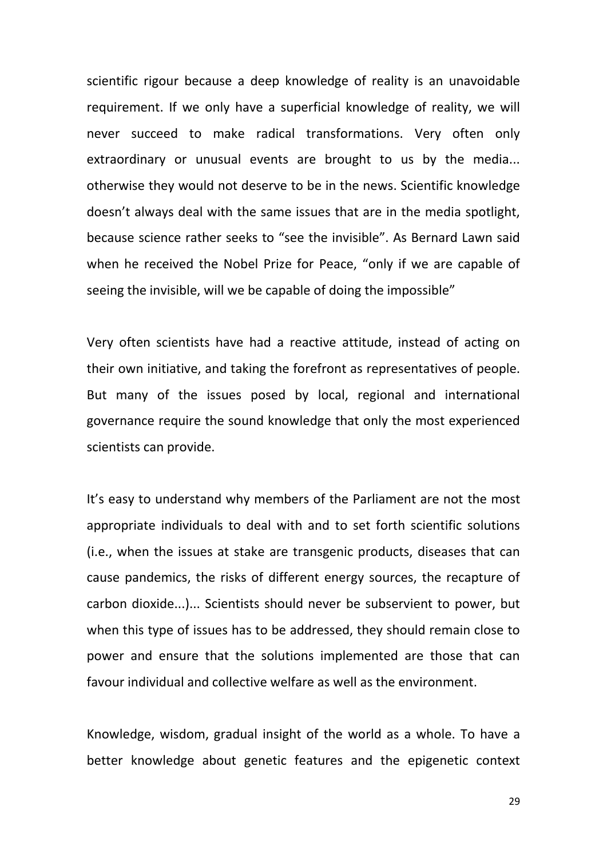scientific rigour because a deep knowledge of reality is an unavoidable requirement. If we only have a superficial knowledge of reality, we will never succeed to make radical transformations. Very often only extraordinary or unusual events are brought to us by the media... otherwise they would not deserve to be in the news. Scientific knowledge doesn't always deal with the same issues that are in the media spotlight, because science rather seeks to "see the invisible". As Bernard Lawn said when he received the Nobel Prize for Peace, "only if we are capable of seeing the invisible, will we be capable of doing the impossible"

Very often scientists have had a reactive attitude, instead of acting on their own initiative, and taking the forefront as representatives of people. But many of the issues posed by local, regional and international governance require the sound knowledge that only the most experienced scientists can provide.

It's easy to understand why members of the Parliament are not the most appropriate individuals to deal with and to set forth scientific solutions (i.e., when the issues at stake are transgenic products, diseases that can cause pandemics, the risks of different energy sources, the recapture of carbon dioxide...)... Scientists should never be subservient to power, but when this type of issues has to be addressed, they should remain close to power and ensure that the solutions implemented are those that can favour individual and collective welfare as well as the environment.

Knowledge, wisdom, gradual insight of the world as a whole. To have a better knowledge about genetic features and the epigenetic context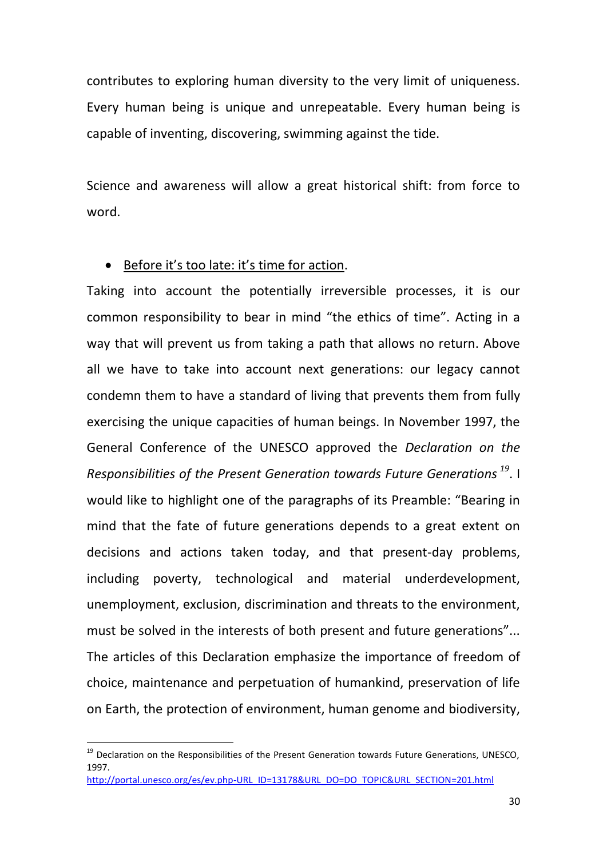contributes to exploring human diversity to the very limit of uniqueness. Every human being is unique and unrepeatable. Every human being is capable of inventing, discovering, swimming against the tide.

Science and awareness will allow a great historical shift: from force to word.

# Before it's too late: it's time for action.

Taking into account the potentially irreversible processes, it is our common responsibility to bear in mind "the ethics of time". Acting in a way that will prevent us from taking a path that allows no return. Above all we have to take into account next generations: our legacy cannot condemn them to have a standard of living that prevents them from fully exercising the unique capacities of human beings. In November 1997, the General Conference of the UNESCO approved the *Declaration on the Responsibilities of the Present Generation towards Future Generations <sup>19</sup>*. I would like to highlight one of the paragraphs of its Preamble: "Bearing in mind that the fate of future generations depends to a great extent on decisions and actions taken today, and that present-day problems, including poverty, technological and material underdevelopment, unemployment, exclusion, discrimination and threats to the environment, must be solved in the interests of both present and future generations"... The articles of this Declaration emphasize the importance of freedom of choice, maintenance and perpetuation of humankind, preservation of life on Earth, the protection of environment, human genome and biodiversity,

**.** 

 $19$  Declaration on the Responsibilities of the Present Generation towards Future Generations, UNESCO, 1997. [http://portal.unesco.org/es/ev.php-URL\\_ID=13178&URL\\_DO=DO\\_TOPIC&URL\\_SECTION=201.html](http://portal.unesco.org/es/ev.php-URL_ID=13178&URL_DO=DO_TOPIC&URL_SECTION=201.html)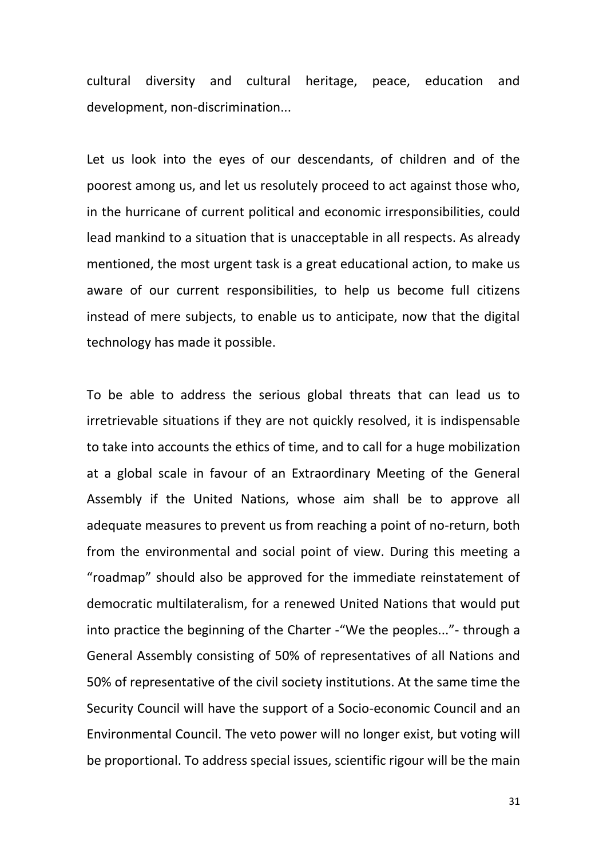cultural diversity and cultural heritage, peace, education and development, non-discrimination...

Let us look into the eyes of our descendants, of children and of the poorest among us, and let us resolutely proceed to act against those who, in the hurricane of current political and economic irresponsibilities, could lead mankind to a situation that is unacceptable in all respects. As already mentioned, the most urgent task is a great educational action, to make us aware of our current responsibilities, to help us become full citizens instead of mere subjects, to enable us to anticipate, now that the digital technology has made it possible.

To be able to address the serious global threats that can lead us to irretrievable situations if they are not quickly resolved, it is indispensable to take into accounts the ethics of time, and to call for a huge mobilization at a global scale in favour of an Extraordinary Meeting of the General Assembly if the United Nations, whose aim shall be to approve all adequate measures to prevent us from reaching a point of no-return, both from the environmental and social point of view. During this meeting a "roadmap" should also be approved for the immediate reinstatement of democratic multilateralism, for a renewed United Nations that would put into practice the beginning of the Charter -"We the peoples..."- through a General Assembly consisting of 50% of representatives of all Nations and 50% of representative of the civil society institutions. At the same time the Security Council will have the support of a Socio-economic Council and an Environmental Council. The veto power will no longer exist, but voting will be proportional. To address special issues, scientific rigour will be the main